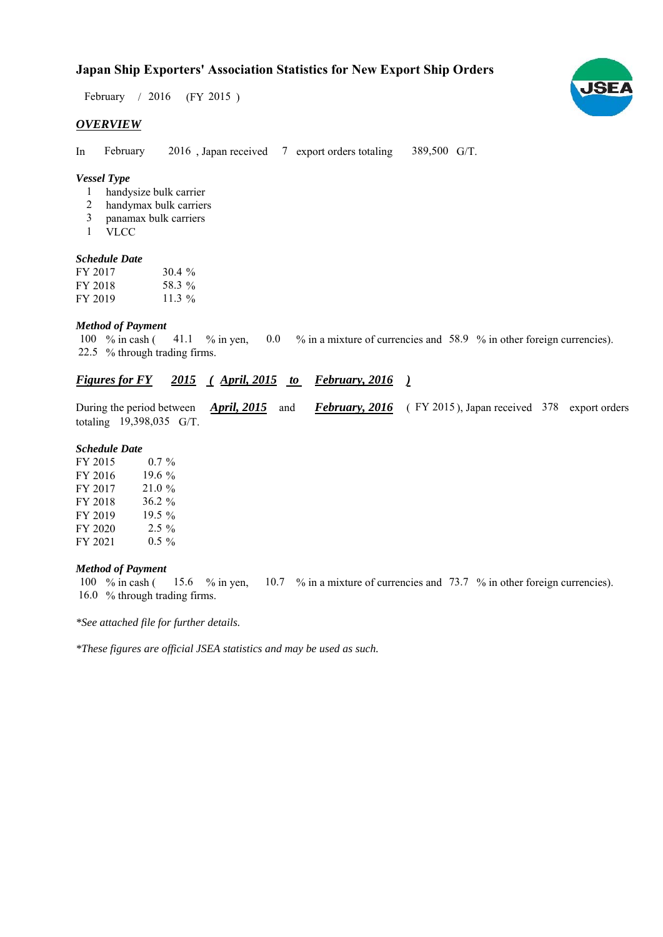# **Japan Ship Exporters' Association Statistics for New Export Ship Orders**

February / 2016 (FY 2015)

#### *OVERVIEW*

In February 2016, Japan received 7 export orders totaling 389,500 G/T. February

### *Vessel Type*

- handysize bulk carrier 1
- handymax bulk carriers 2
- panamax bulk carriers 3
- VLCC 1

#### *Schedule Date*

| FY 2017 | 30.4%    |
|---------|----------|
| FY 2018 | 58.3 %   |
| FY 2019 | 11.3 $%$ |

#### *Method of Payment*

% in cash ( $\frac{41.1}{8}$  % in yen,  $\frac{0.0}{8}$  in a mixture of currencies and 58.9 % in other foreign currencies). % through trading firms. 22.5 100  $%$  in cash ( 41.1  $%$  in yen,

## *Figures for FY* 2015 (April, 2015 to February, 2016)

During the period between *April, 2015* and *February, 2016* (FY 2015), Japan received 378 export orders totaling  $19,398,035$  G/T.

#### *Schedule Date*

FY 2015 FY 2016 FY 2017 FY 2018 FY 2019 FY 2020 FY 2021 19.5  $%$  $2.5\%$ 21.0 %  $0.5 \%$  $0.7 \%$ 19.6 % 36.2  $%$ 

#### *Method of Payment*

% in cash ( $\frac{15.6}{8}$  % in yen,  $\frac{10.7}{8}$  % in a mixture of currencies and 73.7 % in other foreign currencies). 16.0 % through trading firms. 15.6  $%$  in yen, 100  $%$  in cash (

*\*See attached file for further details.*

*\*These figures are official JSEA statistics and may be used as such.*

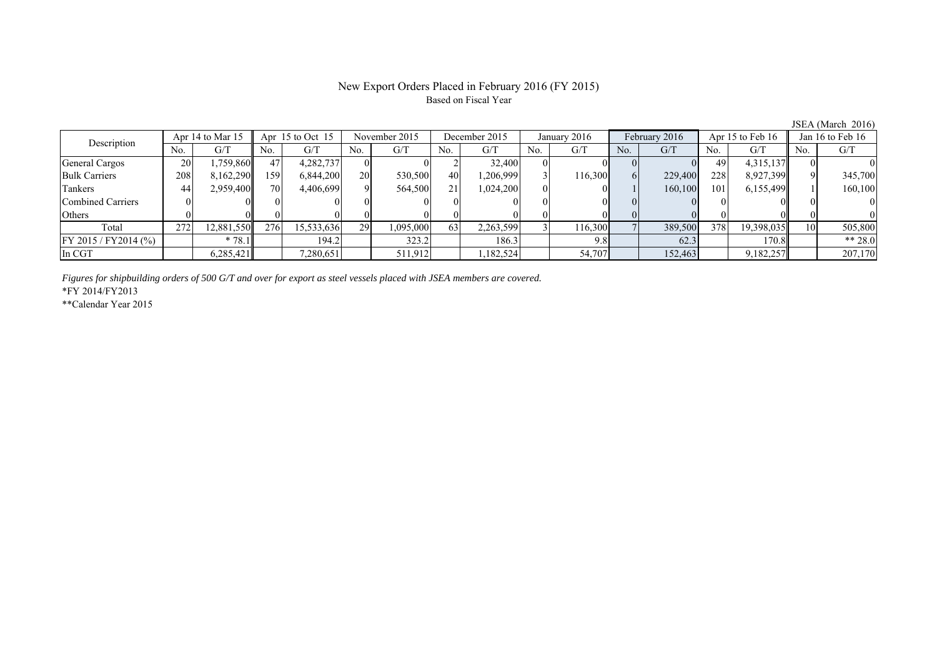## New Export Orders Placed in February 2016 (FY 2015) Based on Fiscal Year

No. G/T No. G/T No. G/T No. G/T No. G/T No. G/T No. G/T No. G/T General Cargos ( 20 1,759,860 47 4,282,737 0 0 0 2 32,400 0 0 0 0 0 49 4,315,137 0 0 Bulk Carriers 208 8,162,290 159 6,844,200 20 530,500 40 1,206,999 3 116,300 6 229,400 228 8,927,399 9 345,700 Tankers | 44| 2,959,400|| 70| 4,406,699| 9| 564,500| 21| 1,024,200| 0| 0| 1| 160,100| 101| 6,155,499|| 1| 160,100 Combined Carriers 0 0 0 0 0 0 0 0 0 0 0 0 0 0 0 0 Others | 0 | 0 || 0 || 0 || 0 || 0 || 0 || 0 || 0 || 0 || 0 | Total 272 12,881,550 276 15,533,636 29 1,095,000 63 2,263,599 3 116,300 7 389,500 378 19,398,035 10 505,800 FY 2015 / FY2014 (%)  $* 78.1$  194.2 323.2 186.3 9.8 62.3 170.8 \*\* 28.0 In CGT 6,285,421 7,280,651 511,912 1,182,524 54,707 152,463 9,182,257 207,170 Description Apr 14 to Mar 15 Apr 15 to Oct 15 November 2015 December 2015<br>No. 1 G/T No. 1 G/T No. 1 G/T No. 1 G/T January 2016 February 2016 Apr 15 to Feb 16 Jan 16 to Feb 16

*Figures for shipbuilding orders of 500 G/T and over for export as steel vessels placed with JSEA members are covered.*

\*FY 2014/FY2013

\*\*Calendar Year 2015

JSEA (March 2016)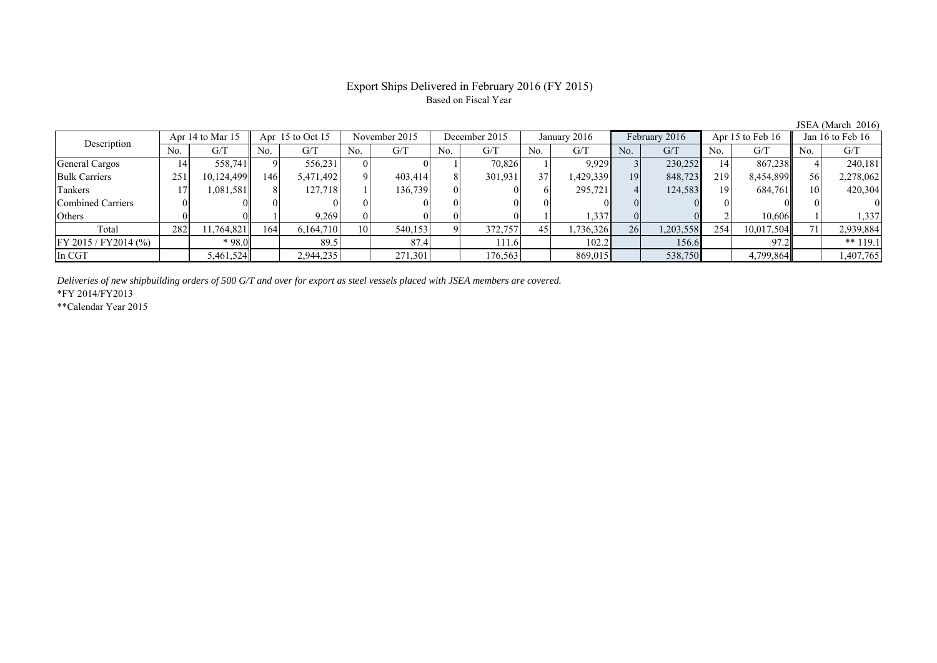# Export Ships Delivered in February 2016 (FY 2015) Based on Fiscal Year

| $50.111$ $\ldots$ $0.11$ $\ldots$ $0.10$ |                  |            |     |                    |           |               |     |               |     |              |     |               |     |                  |     |                      |  |
|------------------------------------------|------------------|------------|-----|--------------------|-----------|---------------|-----|---------------|-----|--------------|-----|---------------|-----|------------------|-----|----------------------|--|
| Description                              | Apr 14 to Mar 15 |            |     | Apr $15$ to Oct 15 |           | November 2015 |     | December 2015 |     | January 2016 |     | February 2016 |     | Apr 15 to Feb 16 |     | Jan $16$ to Feb $16$ |  |
|                                          | No.              | G/T        | No. | G/T                | No.       | G/T           | No. | G/T           | No. | G/T          | No. | G/T           | No. | G/T              | No. | G/T                  |  |
| General Cargos                           | 14'              | 558,741    |     | 556,231            |           |               |     | 70,826        |     | 9,929        |     | 230,252       | 14  | 867,238          |     | 240,181              |  |
| <b>Bulk Carriers</b>                     | 251              | 10,124,499 | 146 | 5,471,492          |           | 403,414       |     | 301,931       | 37  | 1,429,339    | 19  | 848,723       | 219 | 8,454,899        | 56  | 2,278,062            |  |
| Tankers                                  |                  | 1,081,581  |     | 127,718            |           | 136,739       | 01  |               |     | 295,721      | 4   | 124,583       | 19  | 684,761          |     | 420,304              |  |
| Combined Carriers                        |                  |            |     |                    |           |               |     |               |     |              |     |               |     |                  |     |                      |  |
| Others                                   |                  |            |     | 9.269              |           |               |     |               |     | 1,337        |     |               |     | 10.606           |     | 1,337                |  |
| Total                                    | 282              | 11,764,821 | 164 | 6,164,710          | <b>10</b> | 540,153       |     | 372,757       | 45  | 1,736,326    | 26  | 1,203,558     | 254 | 10,017,504       |     | 2,939,884            |  |
| FY 2015 / FY2014 (%)                     |                  | $*98.0$    |     | 89.5               |           | 87.4          |     | 111.6         |     | 102.2        |     | 156.6         |     | 97.2             |     | $**119.1$            |  |
| In CGT                                   |                  | 5,461,524  |     | 2,944,235          |           | 271,301       |     | 176,563       |     | 869,015      |     | 538,750       |     | 4,799,864        |     | 1,407,765            |  |

*Deliveries of new shipbuilding orders of 500 G/T and over for export as steel vessels placed with JSEA members are covered.*

\*FY 2014/FY2013

\*\*Calendar Year 2015

JSEA (March 2016)